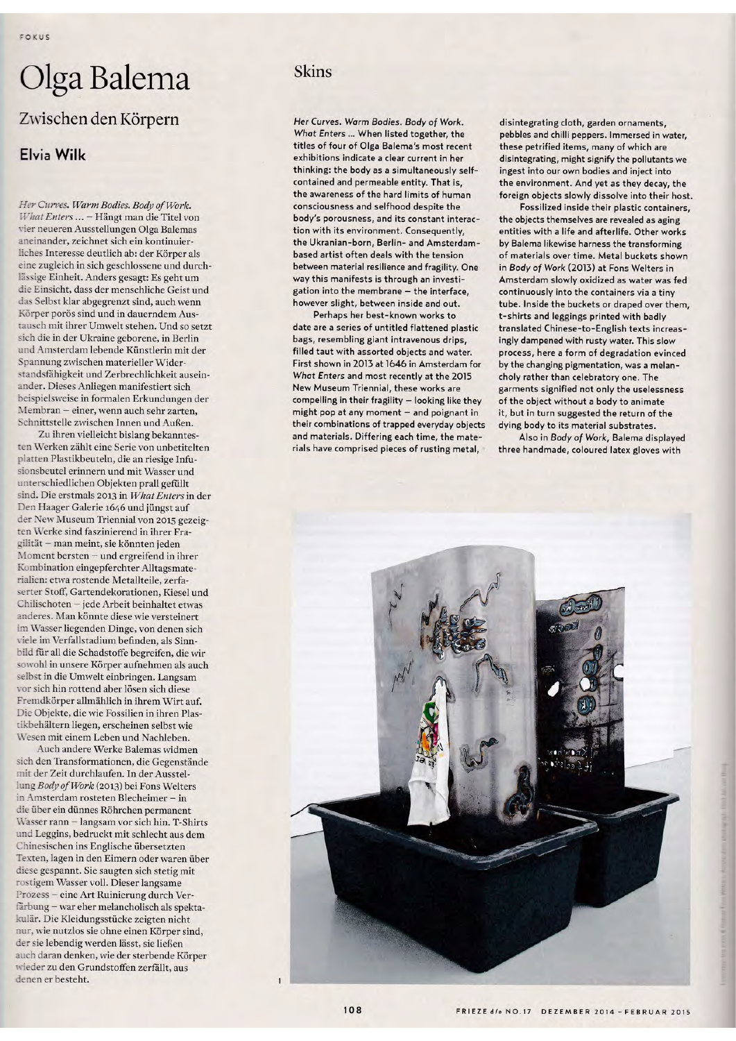## Olga Balema

## Zwischen den Körpern

## Elvia Wilk

Her Curves. Warm Bodies. Body of Work. What Enters ... - Hängt man die Titel von vier neueren Ausstellungen Olga Balemas aneinander, zeichnet sich ein kontinuierliches Interesse deutlich ab: der Körper als eine zugleich in sich geschlossene und durchlässige Einheit. Anders gesagt: Es geht um die Einsicht, dass der menschliche Geist und das Selbst klar abgegrenzt sind, auch wenn Körper porös sind und in dauerndem Austausch mit ihrer Umwelt stehen. Und so setzt sich die in der Ukraine geborene, in Berlin und Amsterdam lebende Künstlerin mit der Spannung zwischen materieller Widerstandsfähigkeit und Zerbrechlichkeit auseinander. Dieses Anliegen manifestiert sich beispielsweise in formalen Erkundungen der Membran - einer, wenn auch sehr zarten, Schnittstelle zwischen Innen und Außen.

Zu ihren vielleicht bislang bekanntesten Werken zählt eine Serie von unbetitelten platten Plastikbeuteln, die an riesige Infusionsbeutel erinnern und mit Wasser und unterschiedlichen Objekten prall gefüllt sind. Die erstmals 2013 in What Enters in der Den Haager Galerie 1646 und jüngst auf der New Museum Triennial von 2015 gezeigten Werke sind faszinierend in ihrer Fragilität - man meint, sie könnten jeden Moment bersten - und ergreifend in ihrer Kombination eingepferchter Alltagsmaterialien: etwa rostende Metallteile, zerfaserter Stoff, Gartendekorationen, Kiesel und Chilischoten - jede Arbeit beinhaltet etwas anderes. Man könnte diese wie versteinert im Wasser liegenden Dinge, von denen sich viele im Verfallstadium befinden, als Sinnbild für all die Schadstoffe begreifen, die wir sowohl in unsere Körper aufnehmen als auch selbst in die Umwelt einbringen. Langsam vor sich hin rottend aber lösen sich diese Fremdkörper allmählich in ihrem Wirt auf. Die Objekte, die wie Fossilien in ihren Plastikbehältern liegen, erscheinen selbst wie Wesen mit einem Leben und Nachleben.

Auch andere Werke Balemas widmen sich den Transformationen, die Gegenstände mit der Zeit durchlaufen. In der Ausstellung Body of Work (2013) bei Fons Welters in Amsterdam rosteten Blecheimer - in die über ein dünnes Röhrchen permanent Wasser rann - langsam vor sich hin. T-Shirts und Leggins, bedruckt mit schlecht aus dem Chinesischen ins Englische übersetzten Texten, lagen in den Eimern oder waren über diese gespannt. Sie saugten sich stetig mit rostigem Wasser voll. Dieser langsame Prozess - eine Art Ruinierung durch Verfärbung - war eher melancholisch als spektakulär. Die Kleidungsstücke zeigten nicht nur, wie nutzlos sie ohne einen Körper sind, der sie lebendig werden lässt, sie ließen auch daran denken, wie der sterbende Körper wieder zu den Grundstoffen zerfällt, aus denen er besteht.

## Skins

Her Curves. Warm Bodies. Body of Work. What Enters ... When listed together, the titles of four of Olga Balema's most recent exhibitions indicate a clear current in her thinking: the body as a simultaneously selfcontained and permeable entity. That is, the awareness of the hard limits of human consciousness and selfhood despite the body's porousness, and its constant interaction with its environment. Consequently, the Ukranian-born, Berlin- and Amsterdambased artist often deals with the tension between material resilience and fragility. One way this manifests is through an investigation into the membrane - the interface, however slight, between inside and out.

Perhaps her best-known works to date are a series of untitled flattened plastic bags, resembling giant intravenous drips, filled taut with assorted objects and water. First shown in 2013 at 1646 in Amsterdam for What Enters and most recently at the 2015 New Museum Triennial, these works are compelling in their fragility - looking like they might pop at any moment - and poignant in their combinations of trapped everyday objects and materials. Differing each time, the materials have comprised pieces of rusting metal,

disintegrating cloth, garden ornaments, pebbles and chilli peppers. Immersed in water, these petrified items, many of which are disintegrating, might signify the pollutants we ingest into our own bodies and inject into the environment. And yet as they decay, the foreign objects slowly dissolve into their host.

Fossilized inside their plastic containers, the objects themselves are revealed as aging entities with a life and afterlife. Other works by Balema likewise harness the transforming of materials over time. Metal buckets shown in Body of Work (2013) at Fons Welters in Amsterdam slowly oxidized as water was fed continuously into the containers via a tiny tube. Inside the buckets or draped over them, t-shirts and leggings printed with badly translated Chinese-to-English texts increasingly dampened with rusty water. This slow process, here a form of degradation evinced by the changing pigmentation, was a melancholy rather than celebratory one. The garments signified not only the uselessness of the object without a body to animate it, but in turn suggested the return of the dying body to its material substrates.

Also in Body of Work, Balema displayed three handmade, coloured latex gloves with